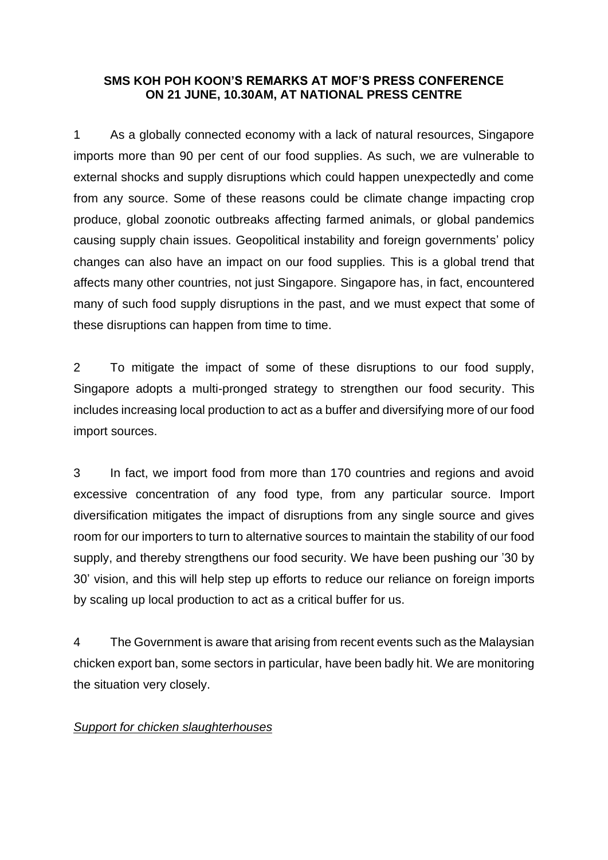## **SMS KOH POH KOON'S REMARKS AT MOF'S PRESS CONFERENCE ON 21 JUNE, 10.30AM, AT NATIONAL PRESS CENTRE**

1 As a globally connected economy with a lack of natural resources, Singapore imports more than 90 per cent of our food supplies. As such, we are vulnerable to external shocks and supply disruptions which could happen unexpectedly and come from any source. Some of these reasons could be climate change impacting crop produce, global zoonotic outbreaks affecting farmed animals, or global pandemics causing supply chain issues. Geopolitical instability and foreign governments' policy changes can also have an impact on our food supplies. This is a global trend that affects many other countries, not just Singapore. Singapore has, in fact, encountered many of such food supply disruptions in the past, and we must expect that some of these disruptions can happen from time to time.

2 To mitigate the impact of some of these disruptions to our food supply, Singapore adopts a multi-pronged strategy to strengthen our food security. This includes increasing local production to act as a buffer and diversifying more of our food import sources.

3 In fact, we import food from more than 170 countries and regions and avoid excessive concentration of any food type, from any particular source. Import diversification mitigates the impact of disruptions from any single source and gives room for our importers to turn to alternative sources to maintain the stability of our food supply, and thereby strengthens our food security. We have been pushing our '30 by 30' vision, and this will help step up efforts to reduce our reliance on foreign imports by scaling up local production to act as a critical buffer for us.

4 The Government is aware that arising from recent events such as the Malaysian chicken export ban, some sectors in particular, have been badly hit. We are monitoring the situation very closely.

## *Support for chicken slaughterhouses*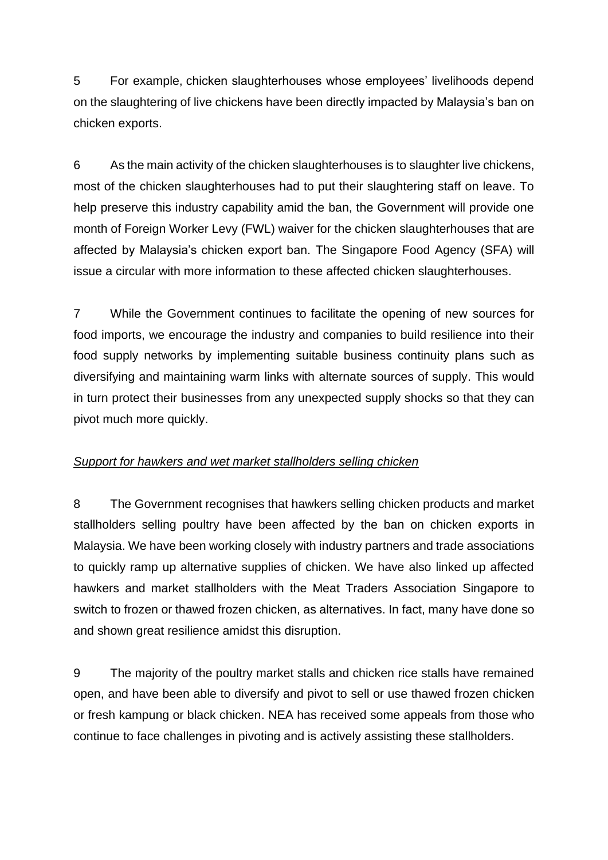5 For example, chicken slaughterhouses whose employees' livelihoods depend on the slaughtering of live chickens have been directly impacted by Malaysia's ban on chicken exports.

6 As the main activity of the chicken slaughterhouses is to slaughter live chickens, most of the chicken slaughterhouses had to put their slaughtering staff on leave. To help preserve this industry capability amid the ban, the Government will provide one month of Foreign Worker Levy (FWL) waiver for the chicken slaughterhouses that are affected by Malaysia's chicken export ban. The Singapore Food Agency (SFA) will issue a circular with more information to these affected chicken slaughterhouses.

7 While the Government continues to facilitate the opening of new sources for food imports, we encourage the industry and companies to build resilience into their food supply networks by implementing suitable business continuity plans such as diversifying and maintaining warm links with alternate sources of supply. This would in turn protect their businesses from any unexpected supply shocks so that they can pivot much more quickly.

## *Support for hawkers and wet market stallholders selling chicken*

8 The Government recognises that hawkers selling chicken products and market stallholders selling poultry have been affected by the ban on chicken exports in Malaysia. We have been working closely with industry partners and trade associations to quickly ramp up alternative supplies of chicken. We have also linked up affected hawkers and market stallholders with the Meat Traders Association Singapore to switch to frozen or thawed frozen chicken, as alternatives. In fact, many have done so and shown great resilience amidst this disruption.

9 The majority of the poultry market stalls and chicken rice stalls have remained open, and have been able to diversify and pivot to sell or use thawed frozen chicken or fresh kampung or black chicken. NEA has received some appeals from those who continue to face challenges in pivoting and is actively assisting these stallholders.